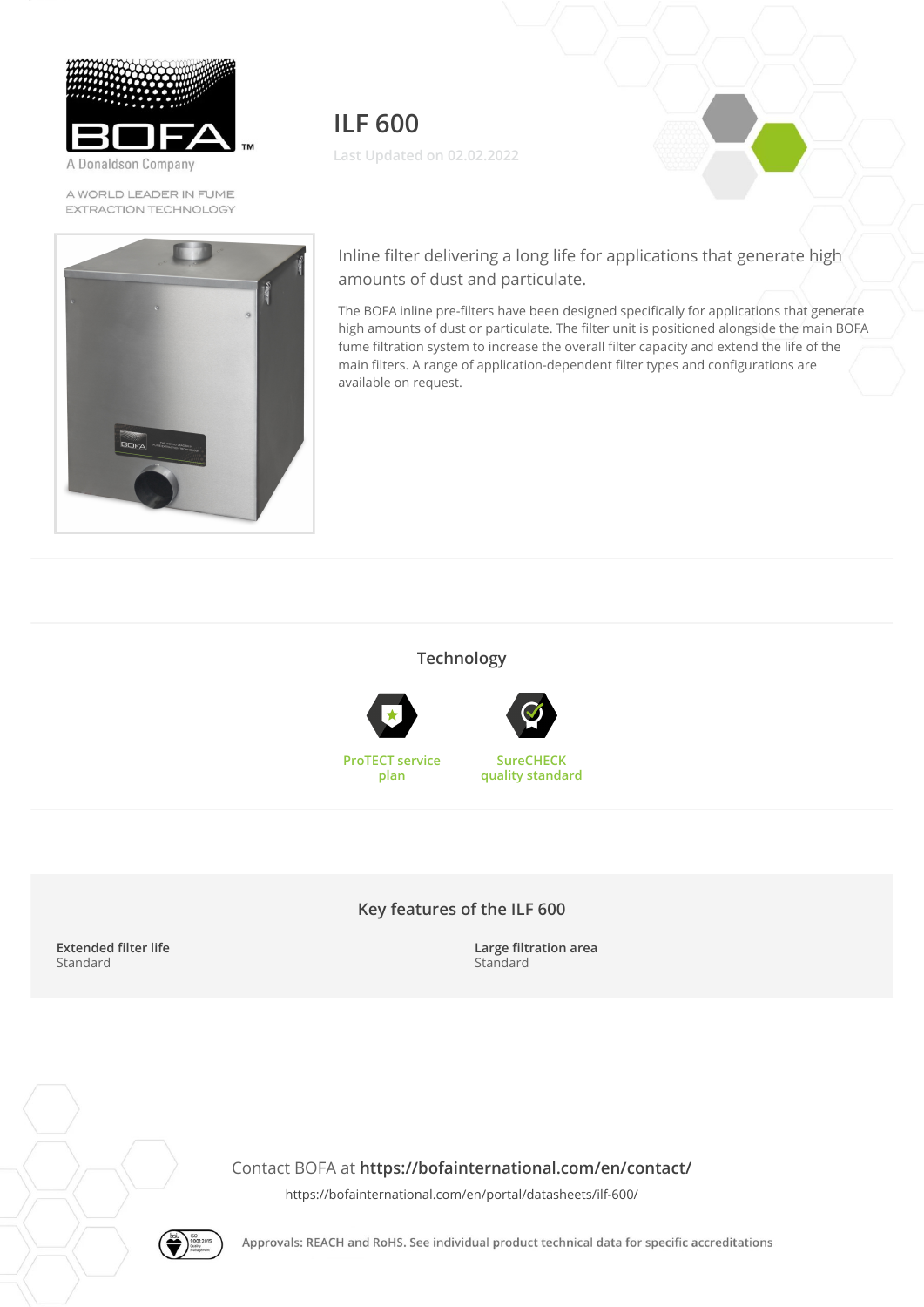

A Donaldson Company

A WORLD LEADER IN FUME EXTRACTION TECHNOLOGY



**ILF 600 Last Updated on 02.02.2022**

Inline filter delivering a long life for applications that generate high amounts of dust and particulate.

The BOFA inline pre-filters have been designed specifically for applications that generate high amounts of dust or particulate. The filter unit is positioned alongside the main BOFA fume filtration system to increase the overall filter capacity and extend the life of the main filters. A range of application-dependent filter types and configurations are available on request.

#### **Technology**





**SureCHECK quality standard**

**ProTECT service plan**



### **Key features of the ILF 600**

**Extended filter life** Standard

**Large filtration area** Standard

Contact BOFA at **<https://bofainternational.com/en/contact/>**

<https://bofainternational.com/en/portal/datasheets/ilf-600/>



Approvals: REACH and RoHS. See individual product technical data for specific accreditations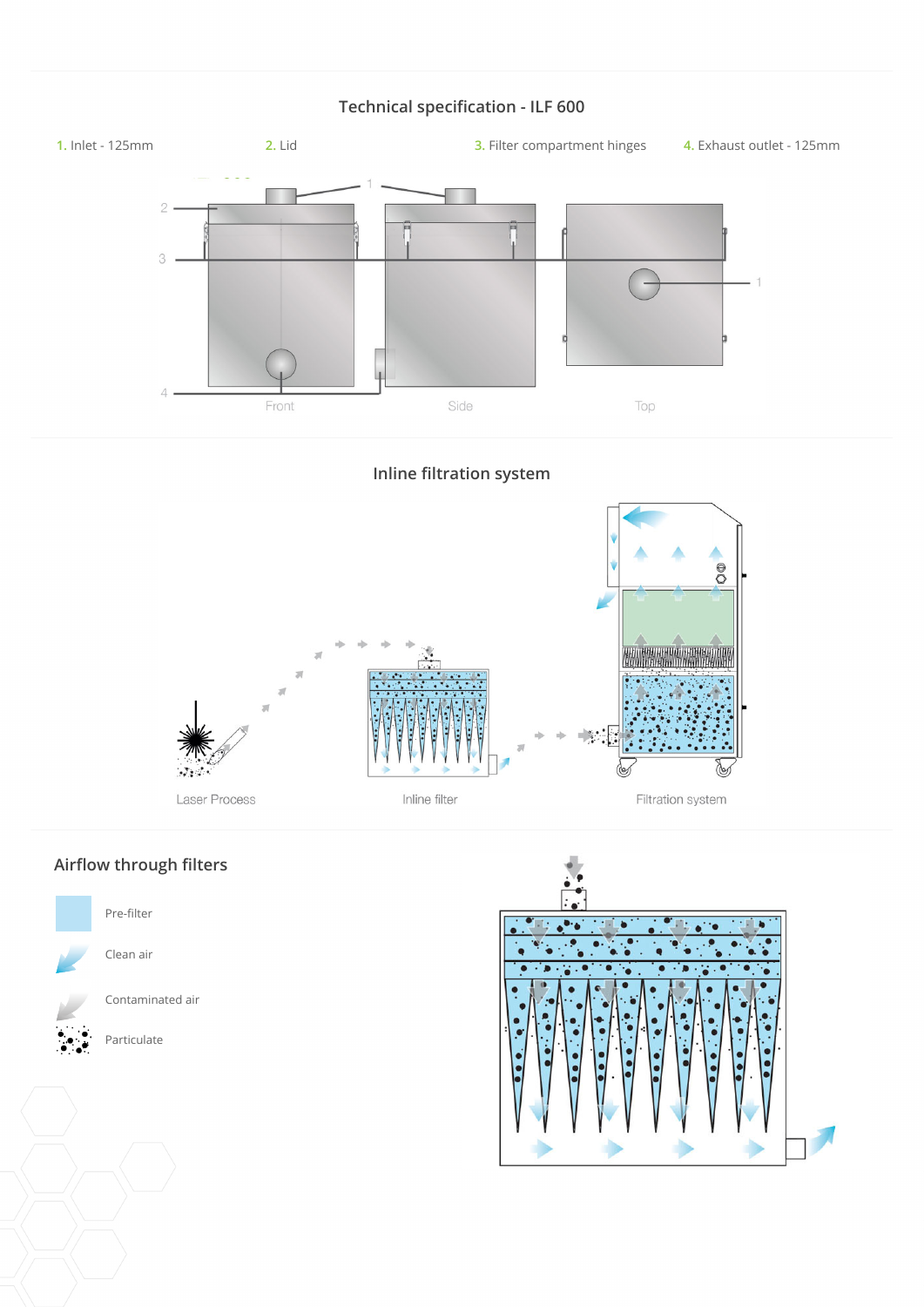# **Technical specification - ILF 600**



**Inline filtration system**



# **Airflow through filters**



Contaminated air

Particulate